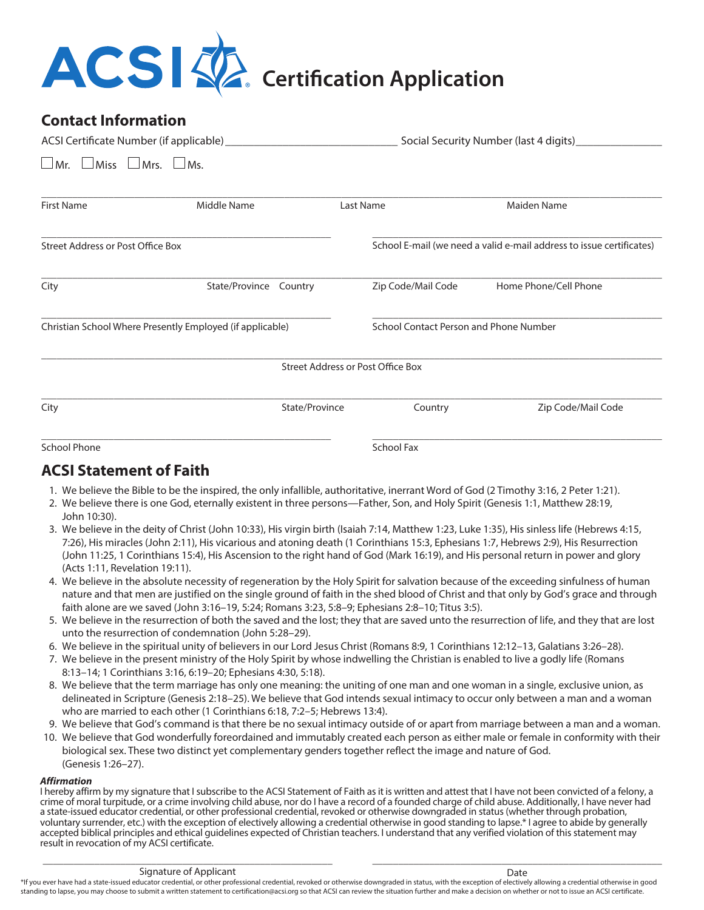

# **Contact Information**

|                                                           |                |                                          | Social Security Number (last 4 digits)                               |                       |  |  |
|-----------------------------------------------------------|----------------|------------------------------------------|----------------------------------------------------------------------|-----------------------|--|--|
| $\Box$ Mr. $\Box$ Miss $\Box$ Mrs. $\Box$ Ms.             |                |                                          |                                                                      |                       |  |  |
| <b>First Name</b>                                         | Middle Name    |                                          | Last Name                                                            | Maiden Name           |  |  |
| Street Address or Post Office Box                         |                |                                          | School E-mail (we need a valid e-mail address to issue certificates) |                       |  |  |
| City                                                      | State/Province | Country                                  | Zip Code/Mail Code                                                   | Home Phone/Cell Phone |  |  |
| Christian School Where Presently Employed (if applicable) |                |                                          | School Contact Person and Phone Number                               |                       |  |  |
|                                                           |                | <b>Street Address or Post Office Box</b> |                                                                      |                       |  |  |
| City                                                      |                | State/Province                           | Country                                                              | Zip Code/Mail Code    |  |  |
| <b>School Phone</b>                                       |                |                                          | <b>School Fax</b>                                                    |                       |  |  |

# **ACSI Statement of Faith**

- 1. We believe the Bible to be the inspired, the only infallible, authoritative, inerrant Word of God (2 Timothy 3:16, 2 Peter 1:21).
- 2. We believe there is one God, eternally existent in three persons—Father, Son, and Holy Spirit (Genesis 1:1, Matthew 28:19, John 10:30).
- 3. We believe in the deity of Christ (John 10:33), His virgin birth (Isaiah 7:14, Matthew 1:23, Luke 1:35), His sinless life (Hebrews 4:15, 7:26), His miracles (John 2:11), His vicarious and atoning death (1 Corinthians 15:3, Ephesians 1:7, Hebrews 2:9), His Resurrection (John 11:25, 1 Corinthians 15:4), His Ascension to the right hand of God (Mark 16:19), and His personal return in power and glory (Acts 1:11, Revelation 19:11).
- 4. We believe in the absolute necessity of regeneration by the Holy Spirit for salvation because of the exceeding sinfulness of human nature and that men are justified on the single ground of faith in the shed blood of Christ and that only by God's grace and through faith alone are we saved (John 3:16–19, 5:24; Romans 3:23, 5:8–9; Ephesians 2:8–10; Titus 3:5).
- 5. We believe in the resurrection of both the saved and the lost; they that are saved unto the resurrection of life, and they that are lost unto the resurrection of condemnation (John 5:28–29).
- 6. We believe in the spiritual unity of believers in our Lord Jesus Christ (Romans 8:9, 1 Corinthians 12:12–13, Galatians 3:26–28).
- 7. We believe in the present ministry of the Holy Spirit by whose indwelling the Christian is enabled to live a godly life (Romans 8:13–14; 1 Corinthians 3:16, 6:19–20; Ephesians 4:30, 5:18).
- 8. We believe that the term marriage has only one meaning: the uniting of one man and one woman in a single, exclusive union, as delineated in Scripture (Genesis 2:18–25). We believe that God intends sexual intimacy to occur only between a man and a woman who are married to each other (1 Corinthians 6:18, 7:2–5; Hebrews 13:4).
- 9. We believe that God's command is that there be no sexual intimacy outside of or apart from marriage between a man and a woman.
- 10. We believe that God wonderfully foreordained and immutably created each person as either male or female in conformity with their biological sex. These two distinct yet complementary genders together reflect the image and nature of God. (Genesis 1:26–27).

#### *A***ffirmation**

I hereby affirm by my signature that I subscribe to the ACSI Statement of Faith as it is written and attest that I have not been convicted of a felony, a crime of moral turpitude, or a crime involving child abuse, nor do I have a record of a founded charge of child abuse. Additionally, I have never had a state-issued educator credential, or other professional credential, revoked or otherwise downgraded in status (whether through probation, voluntary surrender, etc.) with the exception of electively allowing a credential otherwise in good standing to lapse.\* I agree to abide by generally accepted biblical principles and ethical guidelines expected of Christian teachers. I understand that any verified violation of this statement may result in revocation of my ACSI certificate.

#### \_\_\_\_\_\_\_\_\_\_\_\_\_\_\_\_\_\_\_\_\_\_\_\_\_\_\_\_\_\_\_\_\_\_\_\_\_\_\_\_\_\_\_\_\_\_\_\_\_\_\_\_\_\_\_\_ Signature of Applicant

Date

\_\_\_\_\_\_\_\_\_\_\_\_\_\_\_\_\_\_\_\_\_\_\_\_\_\_\_\_\_\_\_\_\_\_\_\_\_\_\_\_\_\_\_\_\_\_\_\_\_\_\_\_\_\_\_\_

<sup>\*</sup>If you ever have had a state-issued educator credential, or other professional credential, revoked or otherwise downgraded in status, with the exception of electively allowing a credential otherwise in good standing to lapse, you may choose to submit a written statement to certification@acsi.org so that ACSI can review the situation further and make a decision on whether or not to issue an ACSI certificate.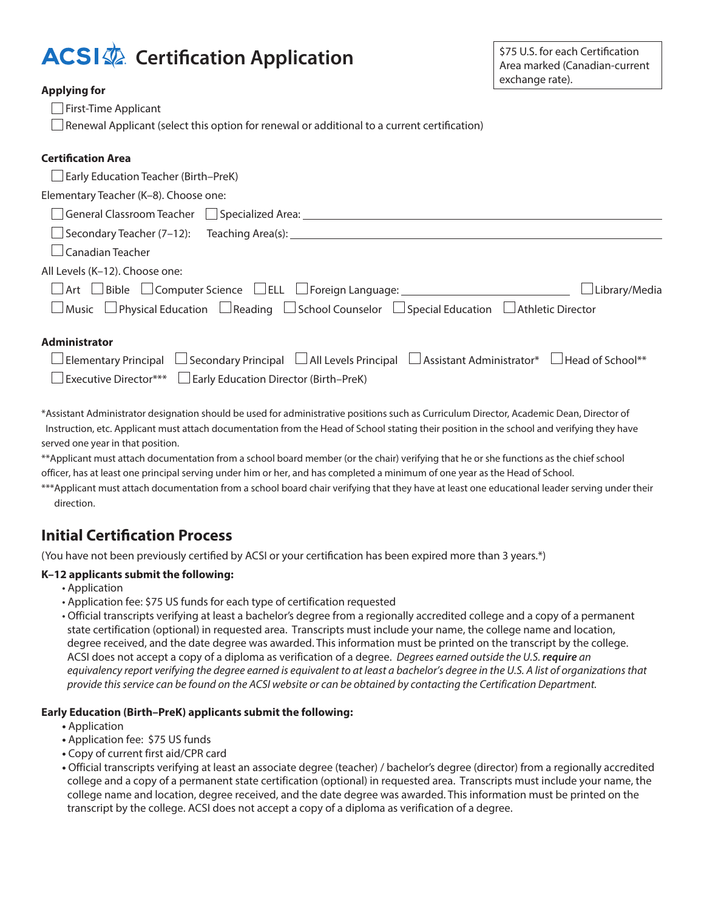# ACSI **Certification Application Account Account Account Account Account Account Account Account Area marked (Canadian-curred**

### **Applying for**

Area marked (Canadian-current exchange rate).

## First-Time Applicant

 $\Box$  Renewal Applicant (select this option for renewal or additional to a current certification)

## **Certification Area**

| $\Box$ Early Education Teacher (Birth-PreK)                                                                                     |
|---------------------------------------------------------------------------------------------------------------------------------|
| Elementary Teacher (K-8). Choose one:                                                                                           |
| General Classroom Teacher Specialized Area:                                                                                     |
| Secondary Teacher (7–12): Teaching Area(s): 1990 1991                                                                           |
| $\Box$ Canadian Teacher                                                                                                         |
| All Levels (K-12). Choose one:                                                                                                  |
| □ Art □ Bible □ Computer Science □ ELL □ Foreign Language: _____________________<br>$\Box$ Library/Media                        |
| $\Box$ Music $\Box$ Physical Education $\Box$ Reading $\Box$ School Counselor $\Box$ Special Education $\Box$ Athletic Director |
| <b>Administrator</b>                                                                                                            |

|                                                                           |  | $\Box$ Elementary Principal $\Box$ Secondary Principal $\Box$ All Levels Principal $\Box$ Assistant Administrator* $\Box$ Head of School** |  |
|---------------------------------------------------------------------------|--|--------------------------------------------------------------------------------------------------------------------------------------------|--|
| $\Box$ Executive Director*** $\Box$ Early Education Director (Birth–PreK) |  |                                                                                                                                            |  |

\*Assistant Administrator designation should be used for administrative positions such as Curriculum Director, Academic Dean, Director of Instruction, etc. Applicant must attach documentation from the Head of School stating their position in the school and verifying they have served one year in that position.

\*\* Applicant must attach documentation from a school board member (or the chair) verifying that he or she functions as the chief school officer, has at least one principal serving under him or her, and has completed a minimum of one year as the Head of School.

\*\*\* Applicant must attach documentation from a school board chair verifying that they have at least one educational leader serving under their direction.

# **Initial Certification Process**

(You have not been previously certified by ACSI or your certification has been expired more than 3 years.\*)

#### **K–12 applicants submit the following:**

- Application
- Application fee: \$75 US funds for each type of certification requested
- Official transcripts verifying at least a bachelor's degree from a regionally accredited college and a copy of a permanent state certification (optional) in requested area. Transcripts must include your name, the college name and location, degree received, and the date degree was awarded. This information must be printed on the transcript by the college. ACSI does not accept a copy of a diploma as verification of a degree. *Degrees earned outside the U.S. require an equivalency report verifying the degree earned is equivalent to at least a bachelor's degree in the U.S. A list of organizations that provide this service can be found on the ACSI website or can be obtained by contacting the Certification Department.*

#### **Early Education (Birth–PreK) applicants submit the following:**

- **•** Application
- **•** Application fee: \$75 US funds
- **•** Copy of current first aid/CPR card
- **•** Official transcripts verifying at least an associate degree (teacher) / bachelor's degree (director) from a regionally accredited college and a copy of a permanent state certification (optional) in requested area. Transcripts must include your name, the college name and location, degree received, and the date degree was awarded. This information must be printed on the transcript by the college. ACSI does not accept a copy of a diploma as verification of a degree.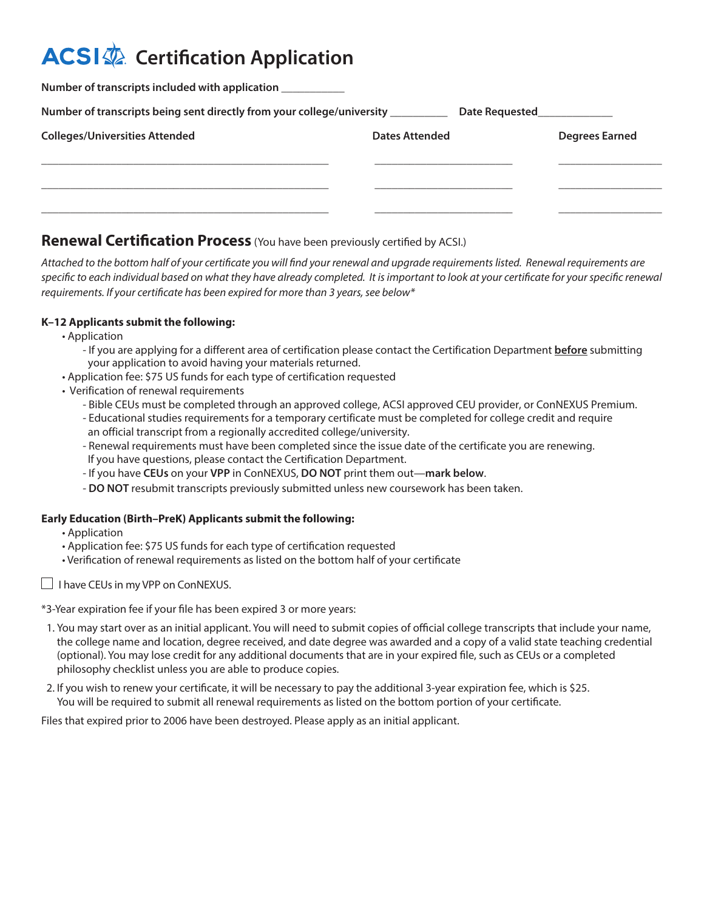# **ACSI Certification Application**

| Number of transcripts included with application ___________ |                                                                                  |  |  |  |  |  |  |  |
|-------------------------------------------------------------|----------------------------------------------------------------------------------|--|--|--|--|--|--|--|
|                                                             | Date Requested <b>National</b>                                                   |  |  |  |  |  |  |  |
| <b>Dates Attended</b>                                       | <b>Degrees Earned</b>                                                            |  |  |  |  |  |  |  |
|                                                             |                                                                                  |  |  |  |  |  |  |  |
|                                                             |                                                                                  |  |  |  |  |  |  |  |
|                                                             |                                                                                  |  |  |  |  |  |  |  |
|                                                             | Number of transcripts being sent directly from your college/university _________ |  |  |  |  |  |  |  |

## **Renewal Certification Process** (You have been previously certified by ACSI.)

*Attached to the bottom half of your certificate you will find your renewal and upgrade requirements listed. Renewal requirements are specific to each individual based on what they have already completed. It is important to look at your certificate for your specific renewal requirements. If your certificate has been expired for more than 3 years, see below\**

## **K–12 Applicants submit the following:**

- Application
	- If you are applying for a different area of certification please contact the Certification Department **before** submitting your application to avoid having your materials returned.
- Application fee: \$75 US funds for each type of certification requested
- Verification of renewal requirements
	- Bible CEUs must be completed through an approved college, ACSI approved CEU provider, or ConNEXUS Premium.
	- Educational studies requirements for a temporary certificate must be completed for college credit and require an official transcript from a regionally accredited college/university.
	- Renewal requirements must have been completed since the issue date of the certificate you are renewing. If you have questions, please contact the Certification Department.
	- If you have **CEUs** on your **VPP** in ConNEXUS, **DO NOT** print them out—**mark below**.
	- **DO NOT** resubmit transcripts previously submitted unless new coursework has been taken.

### **Early Education (Birth–PreK) Applicants submit the following:**

- Application
- Application fee: \$75 US funds for each type of certification requested
- Verification of renewal requirements as listed on the bottom half of your certificate

 $\Box$  I have CEUs in my VPP on ConNEXUS.

\*3-Year expiration fee if your file has been expired 3 or more years:

- 1. You may start over as an initial applicant. You will need to submit copies of official college transcripts that include your name, the college name and location, degree received, and date degree was awarded and a copy of a valid state teaching credential (optional). You may lose credit for any additional documents that are in your expired file, such as CEUs or a completed philosophy checklist unless you are able to produce copies.
- 2. If you wish to renew your certificate, it will be necessary to pay the additional 3-year expiration fee, which is \$25. You will be required to submit all renewal requirements as listed on the bottom portion of your certificate.

Files that expired prior to 2006 have been destroyed. Please apply as an initial applicant.